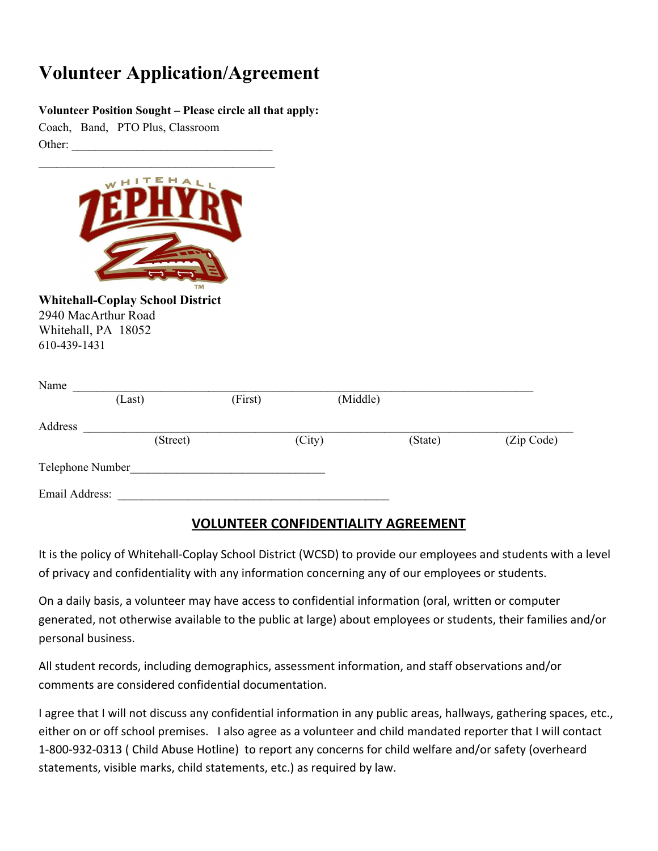## **Volunteer Application/Agreement**

## **Volunteer Position Sought – Please circle all that apply:**

Coach, Band, PTO Plus, Classroom Other:



**Whitehall-Coplay School District** 2940 MacArthur Road Whitehall, PA 18052 610-439-1431

| Name             |          |         |          |         |            |
|------------------|----------|---------|----------|---------|------------|
|                  | (Last)   | (First) | (Middle) |         |            |
| Address          |          |         |          |         |            |
|                  | (Street) |         | (City)   | (State) | (Zip Code) |
| Telephone Number |          |         |          |         |            |
| Email Address:   |          |         |          |         |            |

## **VOLUNTEER CONFIDENTIALITY AGREEMENT**

It is the policy of Whitehall-Coplay School District (WCSD) to provide our employees and students with a level of privacy and confidentiality with any information concerning any of our employees or students.

On a daily basis, a volunteer may have access to confidential information (oral, written or computer generated, not otherwise available to the public at large) about employees or students, their families and/or personal business.

All student records, including demographics, assessment information, and staff observations and/or comments are considered confidential documentation.

I agree that I will not discuss any confidential information in any public areas, hallways, gathering spaces, etc., either on or off school premises. I also agree as a volunteer and child mandated reporter that I will contact 1-800-932-0313 ( Child Abuse Hotline) to report any concerns for child welfare and/or safety (overheard statements, visible marks, child statements, etc.) as required by law.